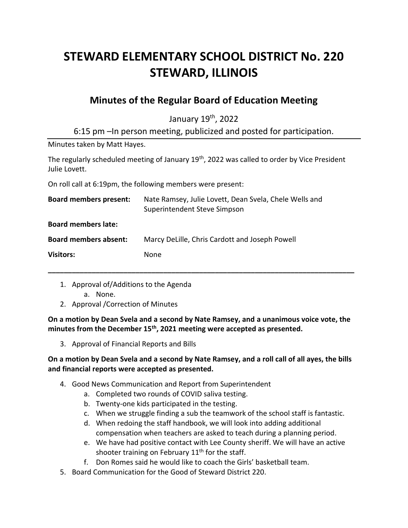# **STEWARD ELEMENTARY SCHOOL DISTRICT No. 220 STEWARD, ILLINOIS**

# **Minutes of the Regular Board of Education Meeting**

January 19th, 2022

6:15 pm –In person meeting, publicized and posted for participation.

Minutes taken by Matt Hayes.

The regularly scheduled meeting of January 19<sup>th</sup>, 2022 was called to order by Vice President Julie Lovett.

On roll call at 6:19pm, the following members were present:

| <b>Board members present:</b> | Nate Ramsey, Julie Lovett, Dean Svela, Chele Wells and<br>Superintendent Steve Simpson |
|-------------------------------|----------------------------------------------------------------------------------------|
| <b>Board members late:</b>    |                                                                                        |
| <b>Board members absent:</b>  | Marcy DeLille, Chris Cardott and Joseph Powell                                         |
| <b>Visitors:</b>              | None                                                                                   |
|                               |                                                                                        |

- 1. Approval of/Additions to the Agenda
	- a. None.
- 2. Approval /Correction of Minutes

**On a motion by Dean Svela and a second by Nate Ramsey, and a unanimous voice vote, the minutes from the December 15th, 2021 meeting were accepted as presented.**

3. Approval of Financial Reports and Bills

## **On a motion by Dean Svela and a second by Nate Ramsey, and a roll call of all ayes, the bills and financial reports were accepted as presented.**

- 4. Good News Communication and Report from Superintendent
	- a. Completed two rounds of COVID saliva testing.
	- b. Twenty-one kids participated in the testing.
	- c. When we struggle finding a sub the teamwork of the school staff is fantastic.
	- d. When redoing the staff handbook, we will look into adding additional compensation when teachers are asked to teach during a planning period.
	- e. We have had positive contact with Lee County sheriff. We will have an active shooter training on February  $11<sup>th</sup>$  for the staff.
	- f. Don Romes said he would like to coach the Girls' basketball team.
- 5. Board Communication for the Good of Steward District 220.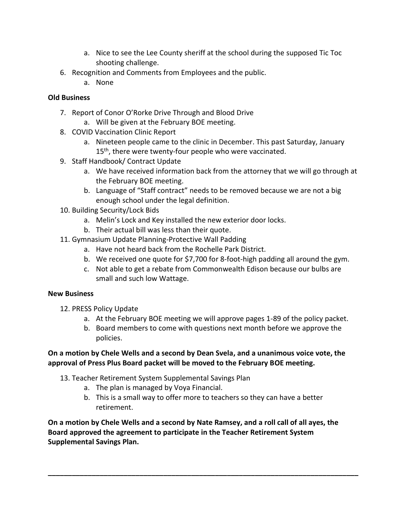- a. Nice to see the Lee County sheriff at the school during the supposed Tic Toc shooting challenge.
- 6. Recognition and Comments from Employees and the public.
	- a. None

# **Old Business**

- 7. Report of Conor O'Rorke Drive Through and Blood Drive
	- a. Will be given at the February BOE meeting.
- 8. COVID Vaccination Clinic Report
	- a. Nineteen people came to the clinic in December. This past Saturday, January 15<sup>th</sup>, there were twenty-four people who were vaccinated.
- 9. Staff Handbook/ Contract Update
	- a. We have received information back from the attorney that we will go through at the February BOE meeting.
	- b. Language of "Staff contract" needs to be removed because we are not a big enough school under the legal definition.
- 10. Building Security/Lock Bids
	- a. Melin's Lock and Key installed the new exterior door locks.
	- b. Their actual bill was less than their quote.
- 11. Gymnasium Update Planning-Protective Wall Padding
	- a. Have not heard back from the Rochelle Park District.
	- b. We received one quote for \$7,700 for 8-foot-high padding all around the gym.
	- c. Not able to get a rebate from Commonwealth Edison because our bulbs are small and such low Wattage.

## **New Business**

- 12. PRESS Policy Update
	- a. At the February BOE meeting we will approve pages 1-89 of the policy packet.
	- b. Board members to come with questions next month before we approve the policies.

## **On a motion by Chele Wells and a second by Dean Svela, and a unanimous voice vote, the approval of Press Plus Board packet will be moved to the February BOE meeting.**

- 13. Teacher Retirement System Supplemental Savings Plan
	- a. The plan is managed by Voya Financial.
	- b. This is a small way to offer more to teachers so they can have a better retirement.

**\_\_\_\_\_\_\_\_\_\_\_\_\_\_\_\_\_\_\_\_\_\_\_\_\_\_\_\_\_\_\_\_\_\_\_\_\_\_\_\_\_\_\_\_\_\_\_\_\_\_\_\_\_\_\_\_\_\_\_\_\_\_\_\_\_\_\_\_\_\_\_\_\_\_\_\_\_\_**

**On a motion by Chele Wells and a second by Nate Ramsey, and a roll call of all ayes, the Board approved the agreement to participate in the Teacher Retirement System Supplemental Savings Plan.**